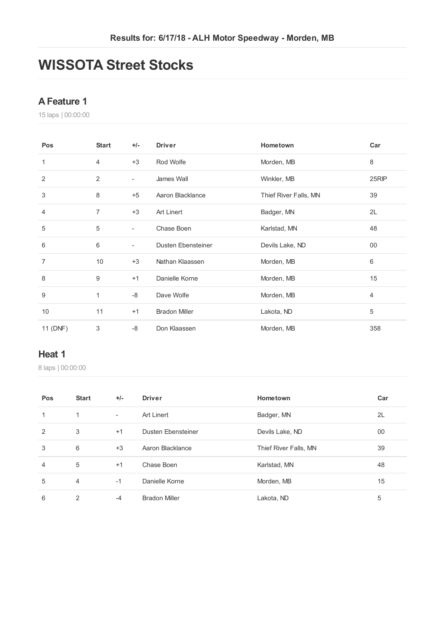## **WISSOTA Street Stocks**

#### **AFeature 1**

laps | 00:00:00

| Pos            | <b>Start</b>   | +/-                      | <b>Driver</b>             | Hometown              | Car            |
|----------------|----------------|--------------------------|---------------------------|-----------------------|----------------|
| 1              | $\overline{4}$ | $+3$                     | Rod Wolfe                 | Morden, MB            | 8              |
| 2              | 2              | $\overline{\phantom{a}}$ | James Wall                | Winkler, MB           | 25RIP          |
| $\sqrt{3}$     | 8              | $+5$                     | Aaron Blacklance          | Thief River Falls, MN | 39             |
| 4              | 7              | $+3$                     | <b>Art Linert</b>         | Badger, MN            | 2L             |
| 5              | 5              | $\overline{\phantom{a}}$ | Chase Boen                | Karlstad, MN          | 48             |
| 6              | 6              | $\overline{\phantom{a}}$ | <b>Dusten Ebensteiner</b> | Devils Lake, ND       | 00             |
| $\overline{7}$ | 10             | $+3$                     | Nathan Klaassen           | Morden, MB            | 6              |
| 8              | 9              | $+1$                     | Danielle Korne            | Morden, MB            | 15             |
| 9              | 1              | -8                       | Dave Wolfe                | Morden, MB            | $\overline{4}$ |
| 10             | 11             | $+1$                     | <b>Bradon Miller</b>      | Lakota, ND            | 5              |
| 11 (DNF)       | 3              | $-8$                     | Don Klaassen              | Morden, MB            | 358            |

#### **Heat 1**

| Pos            | <b>Start</b>   | $+/-$  | <b>Driver</b>        | Hometown              | Car |
|----------------|----------------|--------|----------------------|-----------------------|-----|
| 1              | 1              | $\sim$ | Art Linert           | Badger, MN            | 2L  |
| 2              | 3              | $+1$   | Dusten Ebensteiner   | Devils Lake, ND       | 00  |
| 3              | 6              | $+3$   | Aaron Blacklance     | Thief River Falls, MN | 39  |
| $\overline{4}$ | 5              | $+1$   | Chase Boen           | Karlstad, MN          | 48  |
| 5              | $\overline{4}$ | $-1$   | Danielle Korne       | Morden, MB            | 15  |
| 6              | 2              | $-4$   | <b>Bradon Miller</b> | Lakota, ND            | 5   |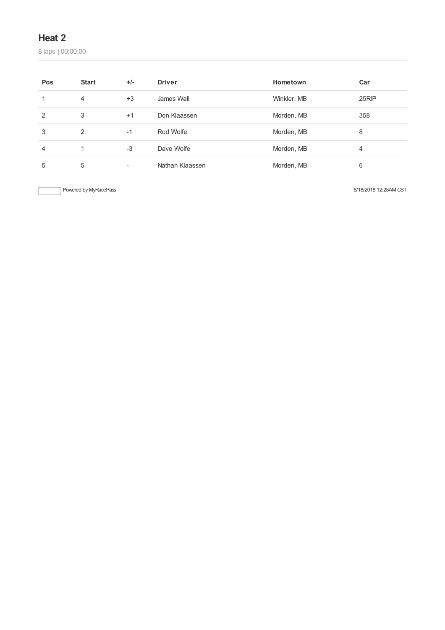laps | 00:00:00

| Pos | <b>Start</b> | $+/-$                    | <b>Driver</b>   | Hometown    | Car   |
|-----|--------------|--------------------------|-----------------|-------------|-------|
|     | 4            | $+3$                     | James Wall      | Winkler, MB | 25RIP |
| 2   | 3            | $+1$                     | Don Klaassen    | Morden, MB  | 358   |
| 3   | 2            | $-1$                     | Rod Wolfe       | Morden, MB  | 8     |
| 4   | 1            | $-3$                     | Dave Wolfe      | Morden, MB  | 4     |
| 5   | 5            | $\overline{\phantom{a}}$ | Nathan Klaassen | Morden, MB  | 6     |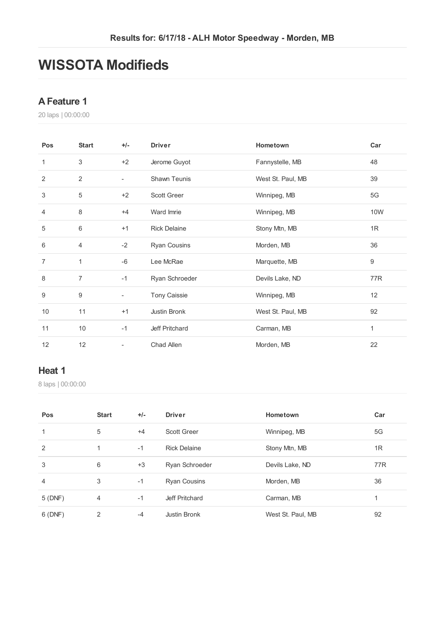## **WISSOTA Modifieds**

#### **AFeature 1**

laps | 00:00:00

| Pos            | <b>Start</b>   | $+/-$                    | <b>Driver</b>       | Hometown          | Car |
|----------------|----------------|--------------------------|---------------------|-------------------|-----|
| 1              | 3              | $+2$                     | Jerome Guyot        | Fannystelle, MB   | 48  |
| 2              | $\overline{2}$ | $\overline{\phantom{a}}$ | Shawn Teunis        | West St. Paul, MB | 39  |
| 3              | 5              | $+2$                     | <b>Scott Greer</b>  | Winnipeg, MB      | 5G  |
| 4              | 8              | $+4$                     | Ward Imrie          | Winnipeg, MB      | 10W |
| 5              | 6              | $+1$                     | <b>Rick Delaine</b> | Stony Mtn, MB     | 1R  |
| 6              | $\overline{4}$ | $-2$                     | <b>Ryan Cousins</b> | Morden, MB        | 36  |
| $\overline{7}$ | 1              | $-6$                     | Lee McRae           | Marquette, MB     | 9   |
| 8              | $\overline{7}$ | $-1$                     | Ryan Schroeder      | Devils Lake, ND   | 77R |
| 9              | 9              | L,                       | <b>Tony Caissie</b> | Winnipeg, MB      | 12  |
| 10             | 11             | $+1$                     | Justin Bronk        | West St. Paul, MB | 92  |
| 11             | 10             | $-1$                     | Jeff Pritchard      | Carman, MB        | 1   |
| 12             | 12             | $\overline{\phantom{0}}$ | Chad Allen          | Morden, MB        | 22  |

#### **Heat 1**

| Pos            | <b>Start</b> | $+/-$ | <b>Driver</b>       | Hometown          | Car |
|----------------|--------------|-------|---------------------|-------------------|-----|
| 1              | 5            | $+4$  | <b>Scott Greer</b>  | Winnipeg, MB      | 5G  |
| 2              | 1            | $-1$  | <b>Rick Delaine</b> | Stony Mtn, MB     | 1R  |
| 3              | 6            | $+3$  | Ryan Schroeder      | Devils Lake, ND   | 77R |
| $\overline{4}$ | 3            | $-1$  | <b>Ryan Cousins</b> | Morden, MB        | 36  |
| 5(DNF)         | 4            | $-1$  | Jeff Pritchard      | Carman, MB        |     |
| 6(DNF)         | 2            | $-4$  | Justin Bronk        | West St. Paul, MB | 92  |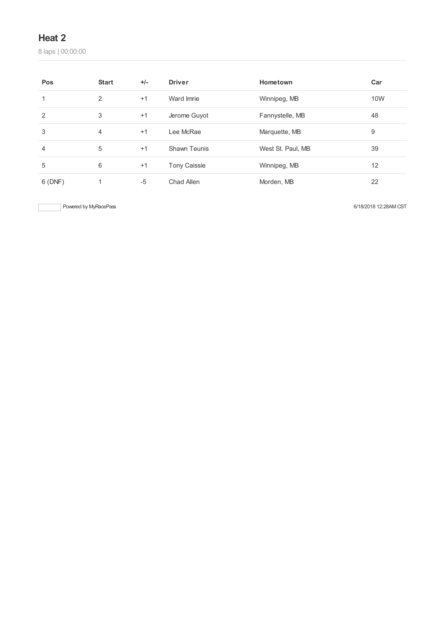laps | 00:00:00

| Pos    | <b>Start</b> | $+/-$ | <b>Driver</b>       | Hometown          | Car |
|--------|--------------|-------|---------------------|-------------------|-----|
| 1      | 2            | $+1$  | Ward Imrie          | Winnipeg, MB      | 10W |
| 2      | 3            | $+1$  | Jerome Guyot        | Fannystelle, MB   | 48  |
| 3      | 4            | $+1$  | Lee McRae           | Marquette, MB     | 9   |
| 4      | 5            | $+1$  | Shawn Teunis        | West St. Paul, MB | 39  |
| 5      | 6            | $+1$  | <b>Tony Caissie</b> | Winnipeg, MB      | 12  |
| 6(DNF) | 1            | $-5$  | Chad Allen          | Morden, MB        | 22  |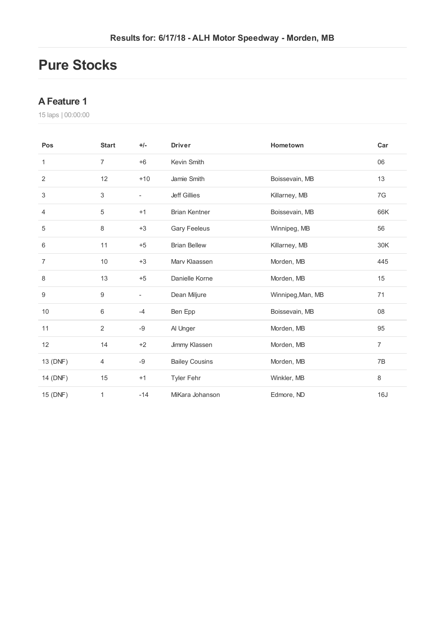## **Pure Stocks**

### **AFeature 1**

| Pos              | <b>Start</b>   | $+/-$                    | <b>Driver</b>         | Hometown          | Car            |
|------------------|----------------|--------------------------|-----------------------|-------------------|----------------|
| 1                | $\overline{7}$ | $+6$                     | Kevin Smith           |                   | 06             |
| 2                | 12             | $+10$                    | Jamie Smith           | Boissevain, MB    | 13             |
| 3                | 3              | $\overline{\phantom{a}}$ | <b>Jeff Gillies</b>   | Killarney, MB     | 7G             |
| $\overline{4}$   | 5              | $+1$                     | <b>Brian Kentner</b>  | Boissevain, MB    | 66K            |
| 5                | 8              | $+3$                     | <b>Gary Feeleus</b>   | Winnipeg, MB      | 56             |
| 6                | 11             | $+5$                     | <b>Brian Bellew</b>   | Killarney, MB     | 30K            |
| 7                | 10             | $+3$                     | Marv Klaassen         | Morden, MB        | 445            |
| 8                | 13             | $+5$                     | Danielle Korne        | Morden, MB        | 15             |
| $\boldsymbol{9}$ | 9              | $\overline{\phantom{a}}$ | Dean Miljure          | Winnipeg, Man, MB | 71             |
| $10$             | 6              | $-4$                     | Ben Epp               | Boissevain, MB    | 08             |
| 11               | $\overline{2}$ | $-9$                     | Al Unger              | Morden, MB        | 95             |
| 12               | 14             | $+2$                     | Jimmy Klassen         | Morden, MB        | $\overline{7}$ |
| 13 (DNF)         | 4              | -9                       | <b>Bailey Cousins</b> | Morden, MB        | 7B             |
| 14 (DNF)         | 15             | $+1$                     | <b>Tyler Fehr</b>     | Winkler, MB       | 8              |
| 15 (DNF)         | 1              | $-14$                    | MiKara Johanson       | Edmore, ND        | 16J            |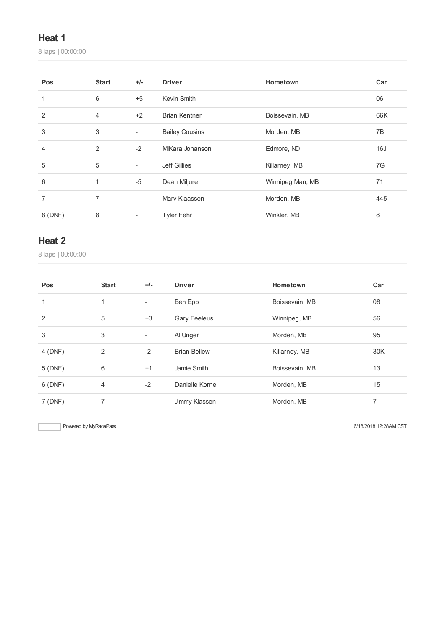laps | 00:00:00

| Pos            | <b>Start</b>   | $+/-$                    | <b>Driver</b>         | Hometown          | Car |
|----------------|----------------|--------------------------|-----------------------|-------------------|-----|
| 1              | 6              | $+5$                     | Kevin Smith           |                   | 06  |
| $\overline{2}$ | $\overline{4}$ | $+2$                     | <b>Brian Kentner</b>  | Boissevain, MB    | 66K |
| 3              | 3              | $\overline{\phantom{a}}$ | <b>Bailey Cousins</b> | Morden, MB        | 7B  |
| 4              | 2              | $-2$                     | MiKara Johanson       | Edmore, ND        | 16J |
| 5              | 5              | $\overline{\phantom{a}}$ | Jeff Gillies          | Killarney, MB     | 7G  |
| 6              | 1              | $-5$                     | Dean Miljure          | Winnipeg, Man, MB | 71  |
| 7              | $\overline{7}$ | $\overline{\phantom{0}}$ | Mary Klaassen         | Morden, MB        | 445 |
| 8 (DNF)        | 8              | ۰                        | <b>Tyler Fehr</b>     | Winkler, MB       | 8   |

#### **Heat 2**

laps | 00:00:00

| Pos          | <b>Start</b>   | $+/-$                    | <b>Driver</b>       | Hometown       | Car |
|--------------|----------------|--------------------------|---------------------|----------------|-----|
| $\mathbf{1}$ | 1              | $\overline{\phantom{a}}$ | Ben Epp             | Boissevain, MB | 08  |
| 2            | 5              | $+3$                     | <b>Gary Feeleus</b> | Winnipeg, MB   | 56  |
| 3            | 3              | $\overline{\phantom{a}}$ | Al Unger            | Morden, MB     | 95  |
| 4 (DNF)      | 2              | $-2$                     | <b>Brian Bellew</b> | Killarney, MB  | 30K |
| 5(DNF)       | 6              | $+1$                     | Jamie Smith         | Boissevain, MB | 13  |
| 6(DNF)       | $\overline{4}$ | $-2$                     | Danielle Korne      | Morden, MB     | 15  |
| 7(DNF)       |                |                          | Jimmy Klassen       | Morden, MB     | 7   |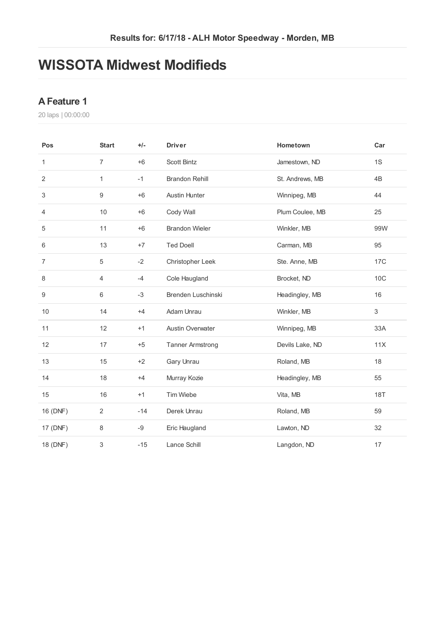## **WISSOTA Midwest Modifieds**

#### **AFeature 1**

| Pos            | <b>Start</b>     | $+/-$ | <b>Driver</b>           | Hometown        | Car        |
|----------------|------------------|-------|-------------------------|-----------------|------------|
| 1              | $\overline{7}$   | $+6$  | <b>Scott Bintz</b>      | Jamestown, ND   | 1S         |
| 2              | $\mathbf{1}$     | $-1$  | <b>Brandon Rehill</b>   | St. Andrews, MB | 4B         |
| 3              | $\boldsymbol{9}$ | $+6$  | <b>Austin Hunter</b>    | Winnipeg, MB    | 44         |
| 4              | 10               | $+6$  | Cody Wall               | Plum Coulee, MB | 25         |
| 5              | 11               | $+6$  | <b>Brandon Wieler</b>   | Winkler, MB     | 99W        |
| 6              | 13               | $+7$  | <b>Ted Doell</b>        | Carman, MB      | 95         |
| $\overline{7}$ | $\,$ 5 $\,$      | $-2$  | Christopher Leek        | Ste. Anne, MB   | 17C        |
| 8              | 4                | $-4$  | Cole Haugland           | Brocket, ND     | 10C        |
| 9              | 6                | $-3$  | Brenden Luschinski      | Headingley, MB  | 16         |
| 10             | 14               | $+4$  | Adam Unrau              | Winkler, MB     | 3          |
| 11             | 12               | $+1$  | <b>Austin Overwater</b> | Winnipeg, MB    | 33A        |
| 12             | 17               | $+5$  | <b>Tanner Armstrong</b> | Devils Lake, ND | 11X        |
| 13             | 15               | $+2$  | Gary Unrau              | Roland, MB      | 18         |
| 14             | 18               | $+4$  | Murray Kozie            | Headingley, MB  | 55         |
| 15             | 16               | $+1$  | Tim Wiebe               | Vita, MB        | <b>18T</b> |
| 16 (DNF)       | $\overline{2}$   | $-14$ | Derek Unrau             | Roland, MB      | 59         |
| 17 (DNF)       | $\,8\,$          | $-9$  | Eric Haugland           | Lawton, ND      | 32         |
| 18 (DNF)       | 3                | $-15$ | Lance Schill            | Langdon, ND     | 17         |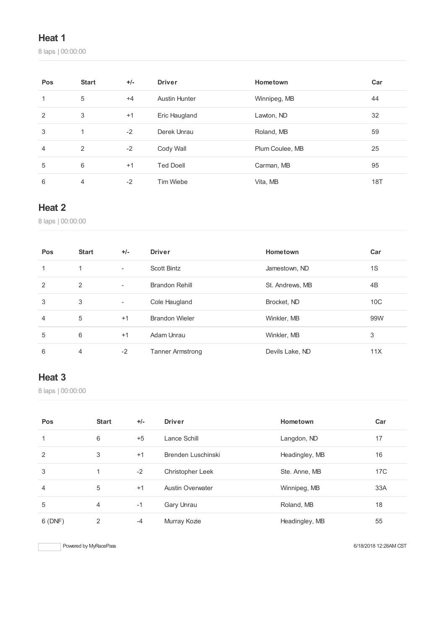laps | 00:00:00

| Pos            | <b>Start</b> | $+/-$ | <b>Driver</b>        | Hometown        | Car |
|----------------|--------------|-------|----------------------|-----------------|-----|
| 1              | 5            | $+4$  | <b>Austin Hunter</b> | Winnipeg, MB    | 44  |
| 2              | 3            | $+1$  | Eric Haugland        | Lawton, ND      | 32  |
| 3              | 1            | $-2$  | Derek Unrau          | Roland, MB      | 59  |
| $\overline{4}$ | 2            | $-2$  | Cody Wall            | Plum Coulee, MB | 25  |
| 5              | 6            | $+1$  | <b>Ted Doell</b>     | Carman, MB      | 95  |
| 6              | 4            | $-2$  | Tim Wiebe            | Vita, MB        | 18T |

### **Heat 2**

laps | 00:00:00

| Pos | <b>Start</b>   | $+/-$                    | <b>Driver</b>           | Hometown        | Car             |
|-----|----------------|--------------------------|-------------------------|-----------------|-----------------|
| 1   | 1              | $\overline{\phantom{a}}$ | Scott Bintz             | Jamestown, ND   | 1S              |
| 2   | $\overline{2}$ | $\blacksquare$           | <b>Brandon Rehill</b>   | St. Andrews, MB | 4B              |
| 3   | 3              | ٠                        | Cole Haugland           | Brocket, ND     | 10 <sup>C</sup> |
| 4   | 5              | $+1$                     | <b>Brandon Wieler</b>   | Winkler, MB     | 99W             |
| 5   | 6              | $+1$                     | Adam Unrau              | Winkler, MB     | 3               |
| 6   | 4              | $-2$                     | <b>Tanner Armstrong</b> | Devils Lake, ND | 11X             |

## **Heat 3**

laps | 00:00:00

| Pos    | <b>Start</b> | $+/-$ | <b>Driver</b>           | Hometown       | Car |
|--------|--------------|-------|-------------------------|----------------|-----|
|        | 6            | $+5$  | Lance Schill            | Langdon, ND    | 17  |
| 2      | 3            | $+1$  | Brenden Luschinski      | Headingley, MB | 16  |
| 3      |              | $-2$  | Christopher Leek        | Ste. Anne, MB  | 17C |
| 4      | 5            | $+1$  | <b>Austin Overwater</b> | Winnipeg, MB   | 33A |
| 5      | 4            | $-1$  | Gary Unrau              | Roland, MB     | 18  |
| 6(DNF) | 2            | $-4$  | Murray Kozie            | Headingley, MB | 55  |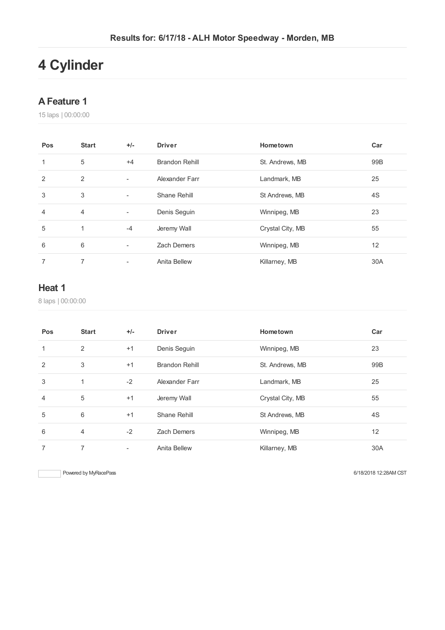# **Cylinder**

#### **AFeature 1**

laps | 00:00:00

| Pos            | <b>Start</b>   | $+/-$                    | <b>Driver</b>         | Hometown         | Car |
|----------------|----------------|--------------------------|-----------------------|------------------|-----|
| 1              | 5              | $+4$                     | <b>Brandon Rehill</b> | St. Andrews, MB  | 99B |
| 2              | 2              | ٠                        | Alexander Farr        | Landmark, MB     | 25  |
| 3              | 3              | ٠                        | Shane Rehill          | St Andrews, MB   | 4S  |
| $\overline{4}$ | $\overline{4}$ | $\overline{\phantom{a}}$ | Denis Seguin          | Winnipeg, MB     | 23  |
| 5              | 1              | $-4$                     | Jeremy Wall           | Crystal City, MB | 55  |
| 6              | 6              | $\overline{\phantom{a}}$ | <b>Zach Demers</b>    | Winnipeg, MB     | 12  |
| 7              | 7              | ۰                        | Anita Bellew          | Killarney, MB    | 30A |

### **Heat 1**

laps | 00:00:00

| Pos            | <b>Start</b> | $+/-$ | <b>Driver</b>         | Hometown         | Car |
|----------------|--------------|-------|-----------------------|------------------|-----|
| 1              | 2            | $+1$  | Denis Seguin          | Winnipeg, MB     | 23  |
| 2              | 3            | $+1$  | <b>Brandon Rehill</b> | St. Andrews, MB  | 99B |
| 3              | 1            | $-2$  | Alexander Farr        | Landmark, MB     | 25  |
| $\overline{4}$ | 5            | $+1$  | Jeremy Wall           | Crystal City, MB | 55  |
| 5              | 6            | $+1$  | Shane Rehill          | St Andrews, MB   | 4S  |
| 6              | 4            | $-2$  | <b>Zach Demers</b>    | Winnipeg, MB     | 12  |
| 7              | 7            | ٠     | Anita Bellew          | Killarney, MB    | 30A |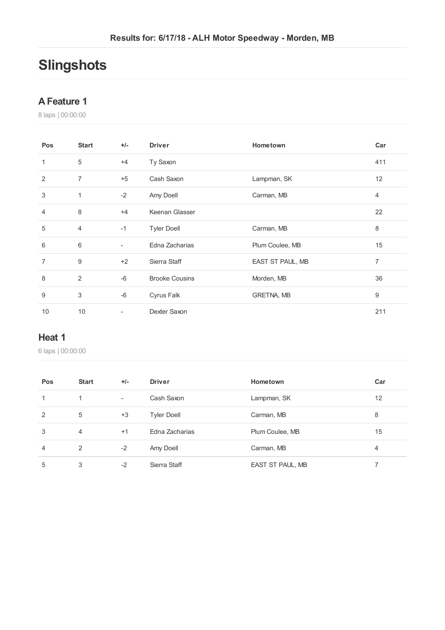# **Slingshots**

#### **AFeature 1**

laps | 00:00:00

| Pos            | <b>Start</b>   | $+/-$                    | <b>Driver</b>           | Hometown          | Car            |
|----------------|----------------|--------------------------|-------------------------|-------------------|----------------|
| 1              | 5              | $+4$                     | Ty Saxon                |                   | 411            |
| 2              | $\overline{7}$ | $+5$                     | Cash Saxon              | Lampman, SK       | 12             |
| 3              | 1              | $-2$                     | Amy Doell<br>Carman, MB |                   | $\overline{4}$ |
| $\overline{4}$ | 8              | $+4$                     | Keenan Glasser          |                   | 22             |
| 5              | 4              | $-1$                     | <b>Tyler Doell</b>      | Carman, MB        | 8              |
| 6              | 6              | $\overline{\phantom{0}}$ | Edna Zacharias          | Plum Coulee, MB   | 15             |
| $\overline{7}$ | 9              | $+2$                     | Sierra Staff            | EAST ST PAUL, MB  | 7              |
| 8              | 2              | $-6$                     | <b>Brooke Cousins</b>   | Morden, MB        | 36             |
| 9              | 3              | $-6$                     | Cyrus Falk              | <b>GRETNA, MB</b> | 9              |
| 10             | 10             | $\overline{\phantom{0}}$ | Dexter Saxon            |                   | 211            |

#### **Heat 1**

| Pos            | <b>Start</b> | $+/-$  | <b>Driver</b>      | Hometown         | Car |
|----------------|--------------|--------|--------------------|------------------|-----|
| 1              | 1            | $\sim$ | Cash Saxon         | Lampman, SK      | 12  |
| 2              | 5            | $+3$   | <b>Tyler Doell</b> | Carman, MB       | 8   |
| 3              | 4            | $+1$   | Edna Zacharias     | Plum Coulee, MB  | 15  |
| $\overline{4}$ | 2            | $-2$   | Amy Doell          | Carman, MB       | 4   |
| 5              | 3            | $-2$   | Sierra Staff       | EAST ST PAUL, MB |     |